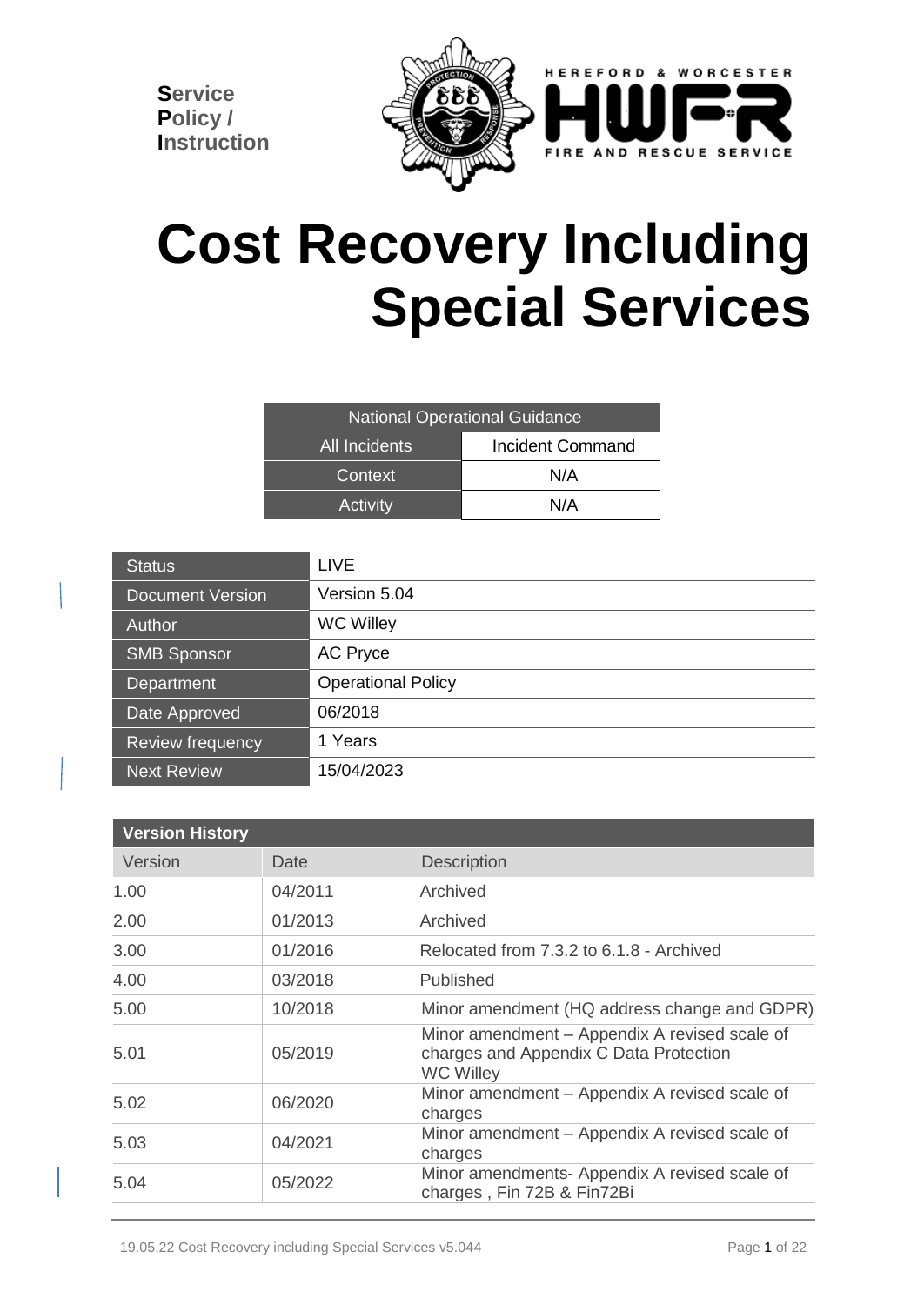

# **Cost Recovery Including Special Services**

| <b>National Operational Guidance</b> |                  |  |  |
|--------------------------------------|------------------|--|--|
| <b>All Incidents</b>                 | Incident Command |  |  |
| Context                              | N/A              |  |  |
| Activity                             | N/A              |  |  |

| <b>Status</b>           | <b>LIVE</b>               |
|-------------------------|---------------------------|
| <b>Document Version</b> | Version 5.04              |
| <b>Author</b>           | <b>WC Willey</b>          |
| <b>SMB Sponsor</b>      | <b>AC Pryce</b>           |
| Department              | <b>Operational Policy</b> |
| Date Approved           | 06/2018                   |
| Review frequency        | 1 Years                   |
| <b>Next Review</b>      | 15/04/2023                |

| <b>Version History</b> |         |                                                                                                             |
|------------------------|---------|-------------------------------------------------------------------------------------------------------------|
| Version                | Date    | <b>Description</b>                                                                                          |
| 1.00                   | 04/2011 | Archived                                                                                                    |
| 2.00                   | 01/2013 | Archived                                                                                                    |
| 3.00                   | 01/2016 | Relocated from 7.3.2 to 6.1.8 - Archived                                                                    |
| 4.00                   | 03/2018 | Published                                                                                                   |
| 5.00                   | 10/2018 | Minor amendment (HQ address change and GDPR)                                                                |
| 5.01                   | 05/2019 | Minor amendment – Appendix A revised scale of<br>charges and Appendix C Data Protection<br><b>WC Willey</b> |
| 5.02                   | 06/2020 | Minor amendment – Appendix A revised scale of<br>charges                                                    |
| 5.03                   | 04/2021 | Minor amendment – Appendix A revised scale of<br>charges                                                    |
| 5.04                   | 05/2022 | Minor amendments- Appendix A revised scale of<br>charges, Fin 72B & Fin72Bi                                 |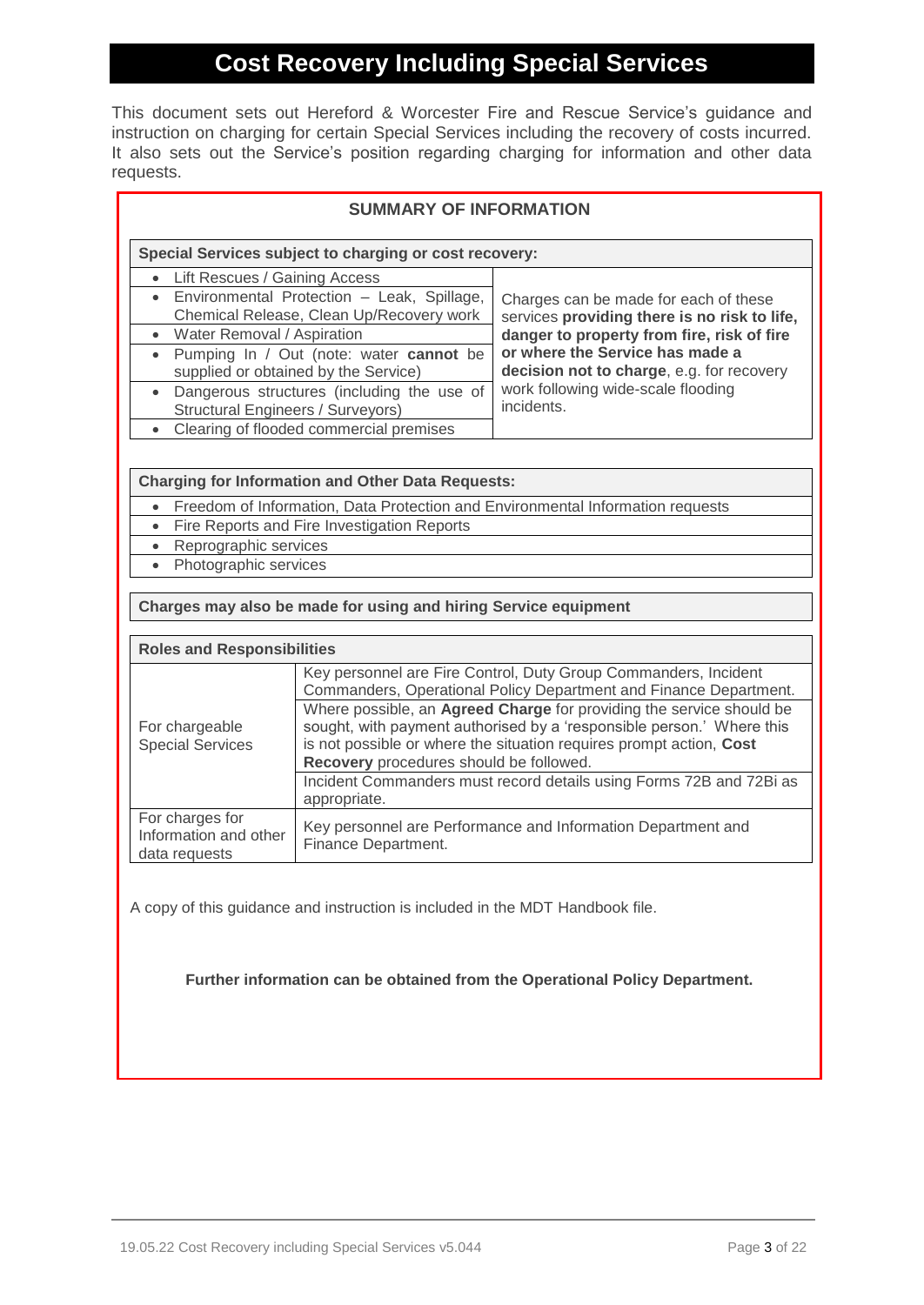# **Cost Recovery Including Special Services**

This document sets out Hereford & Worcester Fire and Rescue Service's guidance and instruction on charging for certain Special Services including the recovery of costs incurred. It also sets out the Service's position regarding charging for information and other data requests.

| <b>SUMMARY OF INFORMATION</b>                                                                                                                                                                                                                                                                                                                                                                                                                                                                                                               |                                                                                                                                                                                                                                                                    |                                                                                                                                                                                                                                                                         |  |  |
|---------------------------------------------------------------------------------------------------------------------------------------------------------------------------------------------------------------------------------------------------------------------------------------------------------------------------------------------------------------------------------------------------------------------------------------------------------------------------------------------------------------------------------------------|--------------------------------------------------------------------------------------------------------------------------------------------------------------------------------------------------------------------------------------------------------------------|-------------------------------------------------------------------------------------------------------------------------------------------------------------------------------------------------------------------------------------------------------------------------|--|--|
|                                                                                                                                                                                                                                                                                                                                                                                                                                                                                                                                             | Special Services subject to charging or cost recovery:                                                                                                                                                                                                             |                                                                                                                                                                                                                                                                         |  |  |
| Lift Rescues / Gaining Access<br>$\bullet$<br>$\bullet$<br>• Water Removal / Aspiration<br>$\bullet$<br>$\bullet$<br><b>Structural Engineers / Surveyors)</b><br>$\bullet$                                                                                                                                                                                                                                                                                                                                                                  | Environmental Protection - Leak, Spillage,<br>Chemical Release, Clean Up/Recovery work<br>Pumping In / Out (note: water cannot be<br>supplied or obtained by the Service)<br>Dangerous structures (including the use of<br>Clearing of flooded commercial premises | Charges can be made for each of these<br>services providing there is no risk to life,<br>danger to property from fire, risk of fire<br>or where the Service has made a<br>decision not to charge, e.g. for recovery<br>work following wide-scale flooding<br>incidents. |  |  |
| <b>Charging for Information and Other Data Requests:</b><br>Freedom of Information, Data Protection and Environmental Information requests<br>$\bullet$<br>Fire Reports and Fire Investigation Reports<br>$\bullet$<br>Reprographic services<br>$\bullet$<br>Photographic services<br>$\bullet$<br>Charges may also be made for using and hiring Service equipment                                                                                                                                                                          |                                                                                                                                                                                                                                                                    |                                                                                                                                                                                                                                                                         |  |  |
| <b>Roles and Responsibilities</b>                                                                                                                                                                                                                                                                                                                                                                                                                                                                                                           |                                                                                                                                                                                                                                                                    |                                                                                                                                                                                                                                                                         |  |  |
| Key personnel are Fire Control, Duty Group Commanders, Incident<br>Commanders, Operational Policy Department and Finance Department.<br>Where possible, an Agreed Charge for providing the service should be<br>sought, with payment authorised by a 'responsible person.' Where this<br>For chargeable<br><b>Special Services</b><br>is not possible or where the situation requires prompt action, Cost<br>Recovery procedures should be followed.<br>Incident Commanders must record details using Forms 72B and 72Bi as<br>appropriate. |                                                                                                                                                                                                                                                                    |                                                                                                                                                                                                                                                                         |  |  |
| For charges for<br>Key personnel are Performance and Information Department and<br>Information and other<br>Finance Department.<br>data requests                                                                                                                                                                                                                                                                                                                                                                                            |                                                                                                                                                                                                                                                                    |                                                                                                                                                                                                                                                                         |  |  |

A copy of this guidance and instruction is included in the MDT Handbook file.

**Further information can be obtained from the Operational Policy Department.**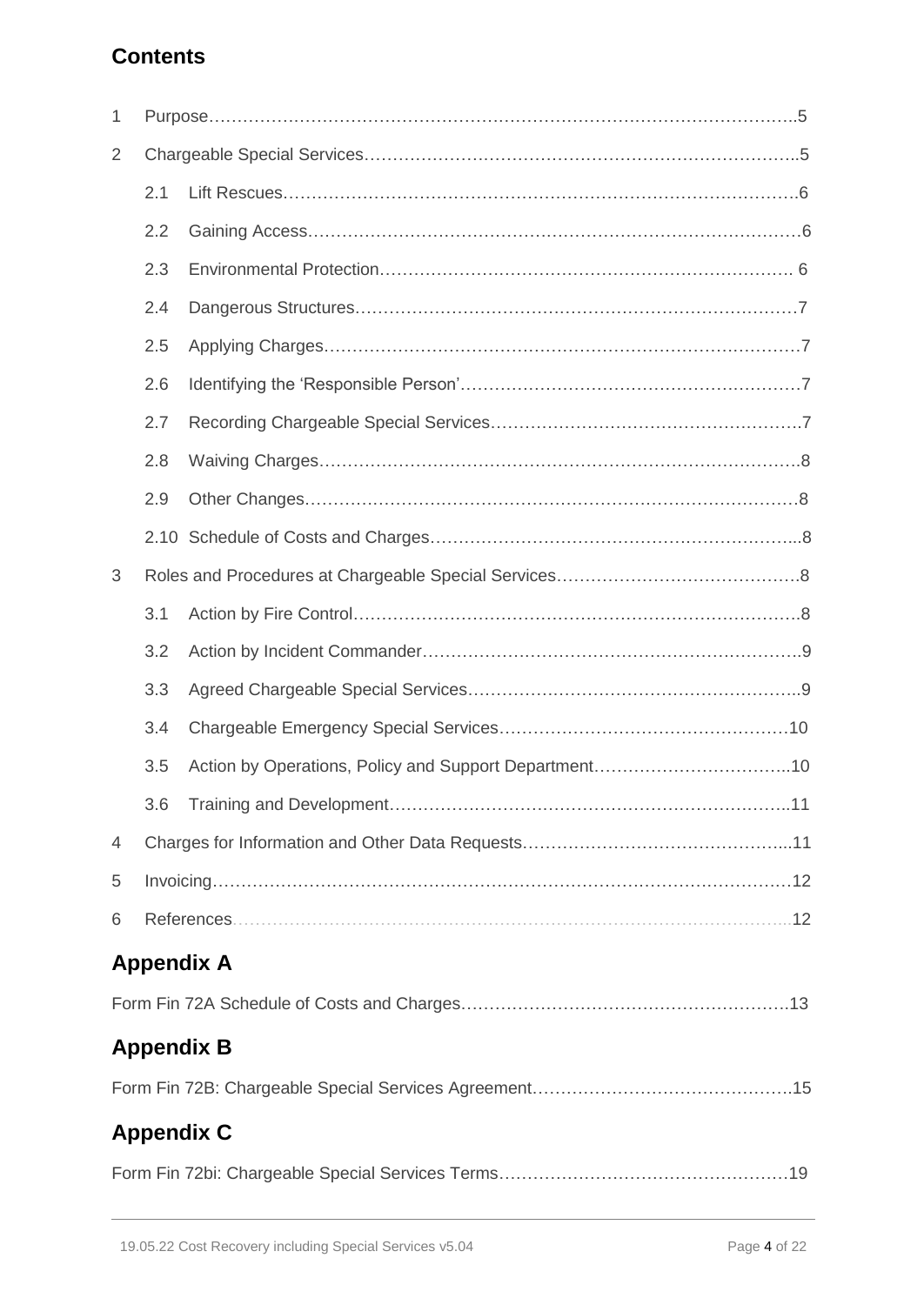# **Contents**

| 1 |     |                   |
|---|-----|-------------------|
| 2 |     |                   |
|   | 2.1 |                   |
|   | 2.2 |                   |
|   | 2.3 |                   |
|   | 2.4 |                   |
|   | 2.5 |                   |
|   | 2.6 |                   |
|   | 2.7 |                   |
|   | 2.8 |                   |
|   | 2.9 |                   |
|   |     |                   |
| 3 |     |                   |
|   | 3.1 |                   |
|   | 3.2 |                   |
|   | 3.3 |                   |
|   | 3.4 |                   |
|   | 3.5 |                   |
|   | 3.6 |                   |
| 4 |     |                   |
| 5 |     |                   |
| 6 |     |                   |
|   |     | <b>Appendix A</b> |
|   |     |                   |
|   |     | <b>Appendix B</b> |
|   |     |                   |
|   |     | <b>Appendix C</b> |
|   |     |                   |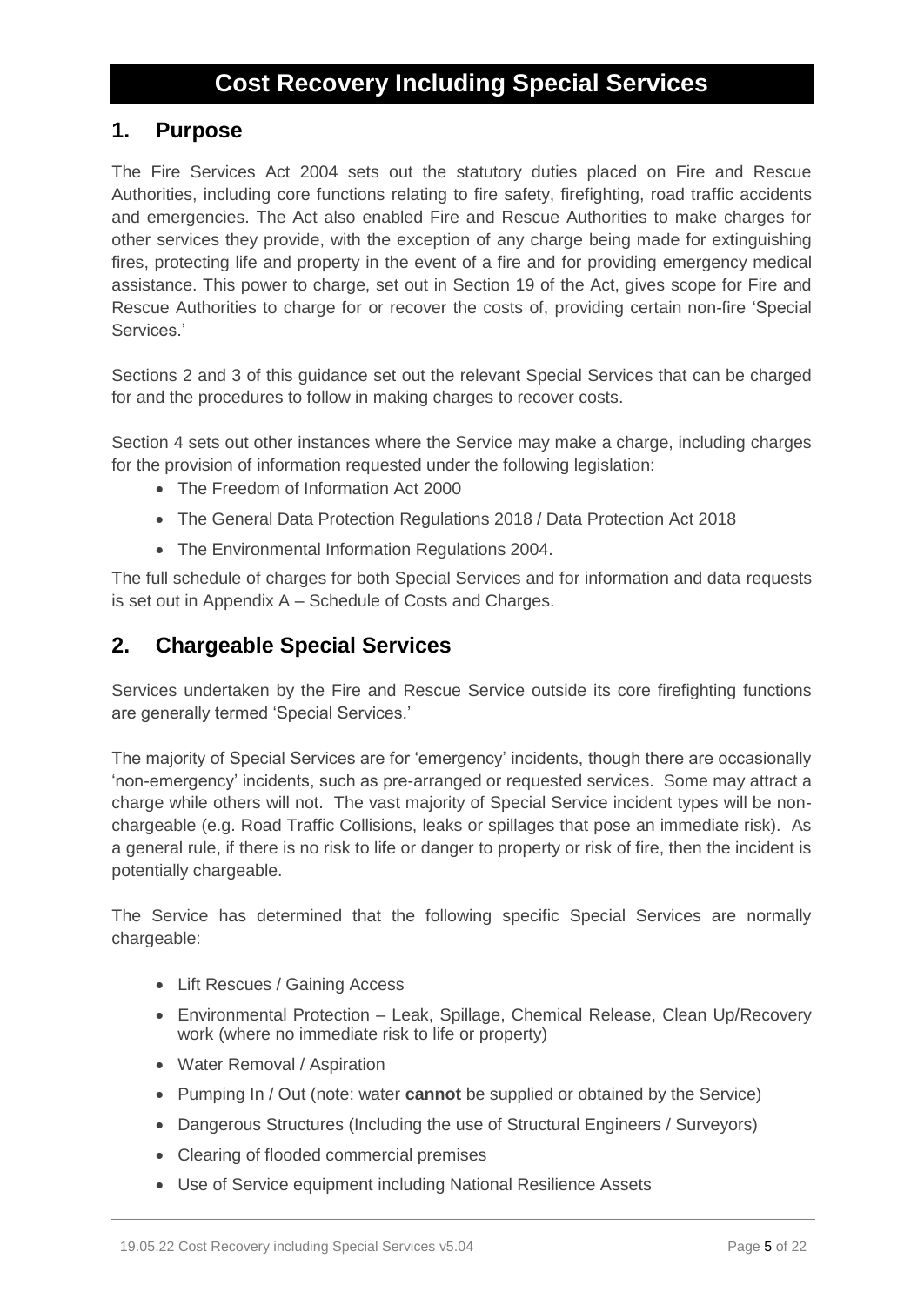# **Cost Recovery Including Special Services**

# **1. Purpose**

The Fire Services Act 2004 sets out the statutory duties placed on Fire and Rescue Authorities, including core functions relating to fire safety, firefighting, road traffic accidents and emergencies. The Act also enabled Fire and Rescue Authorities to make charges for other services they provide, with the exception of any charge being made for extinguishing fires, protecting life and property in the event of a fire and for providing emergency medical assistance. This power to charge, set out in Section 19 of the Act, gives scope for Fire and Rescue Authorities to charge for or recover the costs of, providing certain non-fire 'Special Services.'

Sections 2 and 3 of this guidance set out the relevant Special Services that can be charged for and the procedures to follow in making charges to recover costs.

Section 4 sets out other instances where the Service may make a charge, including charges for the provision of information requested under the following legislation:

- The Freedom of Information Act 2000
- The General Data Protection Regulations 2018 / Data Protection Act 2018
- The Environmental Information Regulations 2004.

The full schedule of charges for both Special Services and for information and data requests is set out in Appendix A – Schedule of Costs and Charges.

# **2. Chargeable Special Services**

Services undertaken by the Fire and Rescue Service outside its core firefighting functions are generally termed 'Special Services.'

The majority of Special Services are for 'emergency' incidents, though there are occasionally 'non-emergency' incidents, such as pre-arranged or requested services. Some may attract a charge while others will not. The vast majority of Special Service incident types will be nonchargeable (e.g. Road Traffic Collisions, leaks or spillages that pose an immediate risk). As a general rule, if there is no risk to life or danger to property or risk of fire, then the incident is potentially chargeable.

The Service has determined that the following specific Special Services are normally chargeable:

- Lift Rescues / Gaining Access
- Environmental Protection Leak, Spillage, Chemical Release, Clean Up/Recovery work (where no immediate risk to life or property)
- Water Removal / Aspiration
- Pumping In / Out (note: water **cannot** be supplied or obtained by the Service)
- Dangerous Structures (Including the use of Structural Engineers / Surveyors)
- Clearing of flooded commercial premises
- Use of Service equipment including National Resilience Assets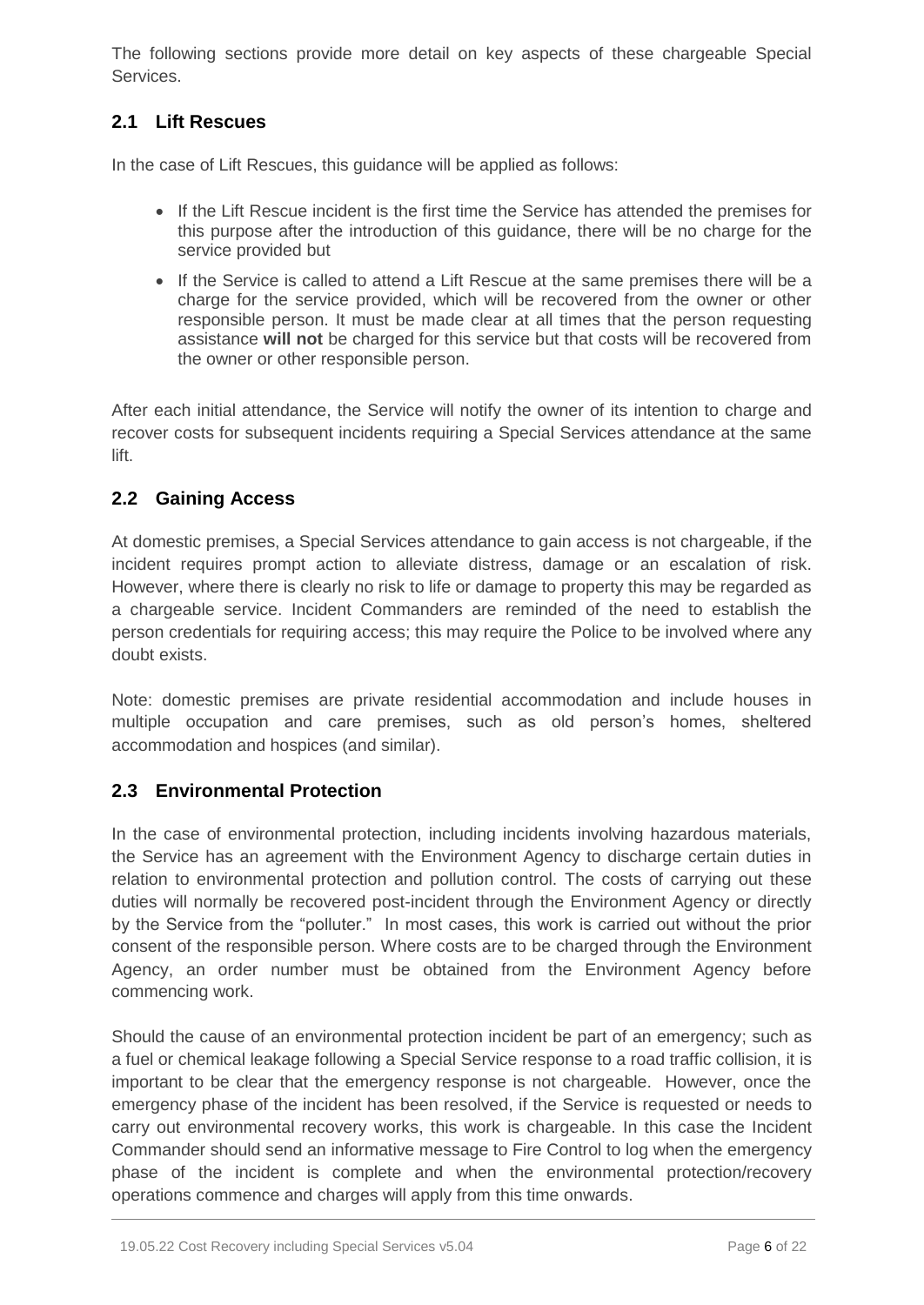The following sections provide more detail on key aspects of these chargeable Special **Services** 

# **2.1 Lift Rescues**

In the case of Lift Rescues, this guidance will be applied as follows:

- If the Lift Rescue incident is the first time the Service has attended the premises for this purpose after the introduction of this guidance, there will be no charge for the service provided but
- If the Service is called to attend a Lift Rescue at the same premises there will be a charge for the service provided, which will be recovered from the owner or other responsible person. It must be made clear at all times that the person requesting assistance **will not** be charged for this service but that costs will be recovered from the owner or other responsible person.

After each initial attendance, the Service will notify the owner of its intention to charge and recover costs for subsequent incidents requiring a Special Services attendance at the same lift.

# **2.2 Gaining Access**

At domestic premises, a Special Services attendance to gain access is not chargeable, if the incident requires prompt action to alleviate distress, damage or an escalation of risk. However, where there is clearly no risk to life or damage to property this may be regarded as a chargeable service. Incident Commanders are reminded of the need to establish the person credentials for requiring access; this may require the Police to be involved where any doubt exists.

Note: domestic premises are private residential accommodation and include houses in multiple occupation and care premises, such as old person's homes, sheltered accommodation and hospices (and similar).

# **2.3 Environmental Protection**

In the case of environmental protection, including incidents involving hazardous materials, the Service has an agreement with the Environment Agency to discharge certain duties in relation to environmental protection and pollution control. The costs of carrying out these duties will normally be recovered post-incident through the Environment Agency or directly by the Service from the "polluter." In most cases, this work is carried out without the prior consent of the responsible person. Where costs are to be charged through the Environment Agency, an order number must be obtained from the Environment Agency before commencing work.

Should the cause of an environmental protection incident be part of an emergency; such as a fuel or chemical leakage following a Special Service response to a road traffic collision, it is important to be clear that the emergency response is not chargeable. However, once the emergency phase of the incident has been resolved, if the Service is requested or needs to carry out environmental recovery works, this work is chargeable. In this case the Incident Commander should send an informative message to Fire Control to log when the emergency phase of the incident is complete and when the environmental protection/recovery operations commence and charges will apply from this time onwards.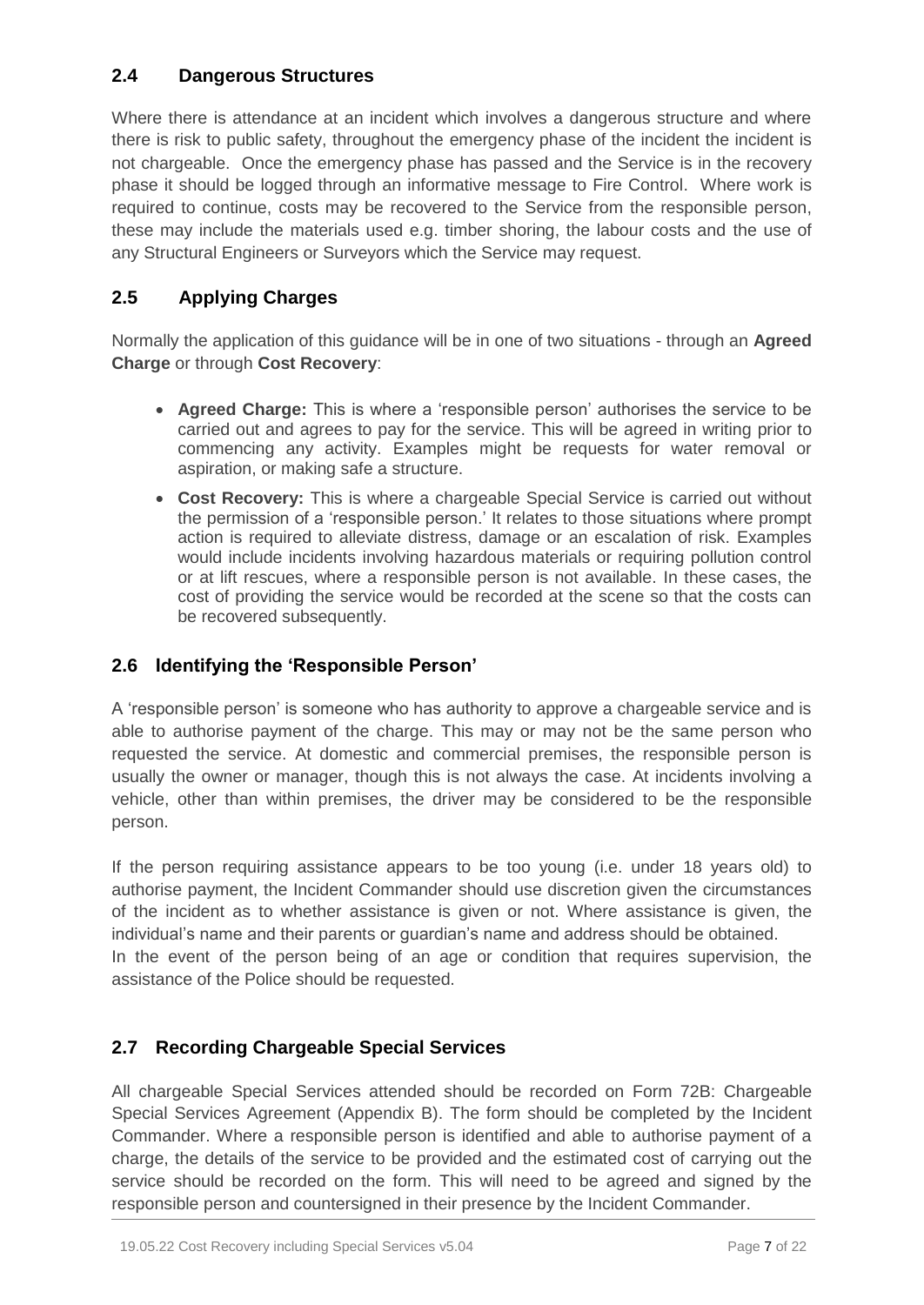# **2.4 Dangerous Structures**

Where there is attendance at an incident which involves a dangerous structure and where there is risk to public safety, throughout the emergency phase of the incident the incident is not chargeable. Once the emergency phase has passed and the Service is in the recovery phase it should be logged through an informative message to Fire Control. Where work is required to continue, costs may be recovered to the Service from the responsible person, these may include the materials used e.g. timber shoring, the labour costs and the use of any Structural Engineers or Surveyors which the Service may request.

# **2.5 Applying Charges**

Normally the application of this guidance will be in one of two situations - through an **Agreed Charge** or through **Cost Recovery**:

- **Agreed Charge:** This is where a 'responsible person' authorises the service to be carried out and agrees to pay for the service. This will be agreed in writing prior to commencing any activity. Examples might be requests for water removal or aspiration, or making safe a structure.
- **Cost Recovery:** This is where a chargeable Special Service is carried out without the permission of a 'responsible person.' It relates to those situations where prompt action is required to alleviate distress, damage or an escalation of risk. Examples would include incidents involving hazardous materials or requiring pollution control or at lift rescues, where a responsible person is not available. In these cases, the cost of providing the service would be recorded at the scene so that the costs can be recovered subsequently.

# **2.6 Identifying the 'Responsible Person'**

A 'responsible person' is someone who has authority to approve a chargeable service and is able to authorise payment of the charge. This may or may not be the same person who requested the service. At domestic and commercial premises, the responsible person is usually the owner or manager, though this is not always the case. At incidents involving a vehicle, other than within premises, the driver may be considered to be the responsible person.

If the person requiring assistance appears to be too young (i.e. under 18 years old) to authorise payment, the Incident Commander should use discretion given the circumstances of the incident as to whether assistance is given or not. Where assistance is given, the individual's name and their parents or guardian's name and address should be obtained. In the event of the person being of an age or condition that requires supervision, the assistance of the Police should be requested.

# **2.7 Recording Chargeable Special Services**

All chargeable Special Services attended should be recorded on Form 72B: Chargeable Special Services Agreement (Appendix B). The form should be completed by the Incident Commander. Where a responsible person is identified and able to authorise payment of a charge, the details of the service to be provided and the estimated cost of carrying out the service should be recorded on the form. This will need to be agreed and signed by the responsible person and countersigned in their presence by the Incident Commander.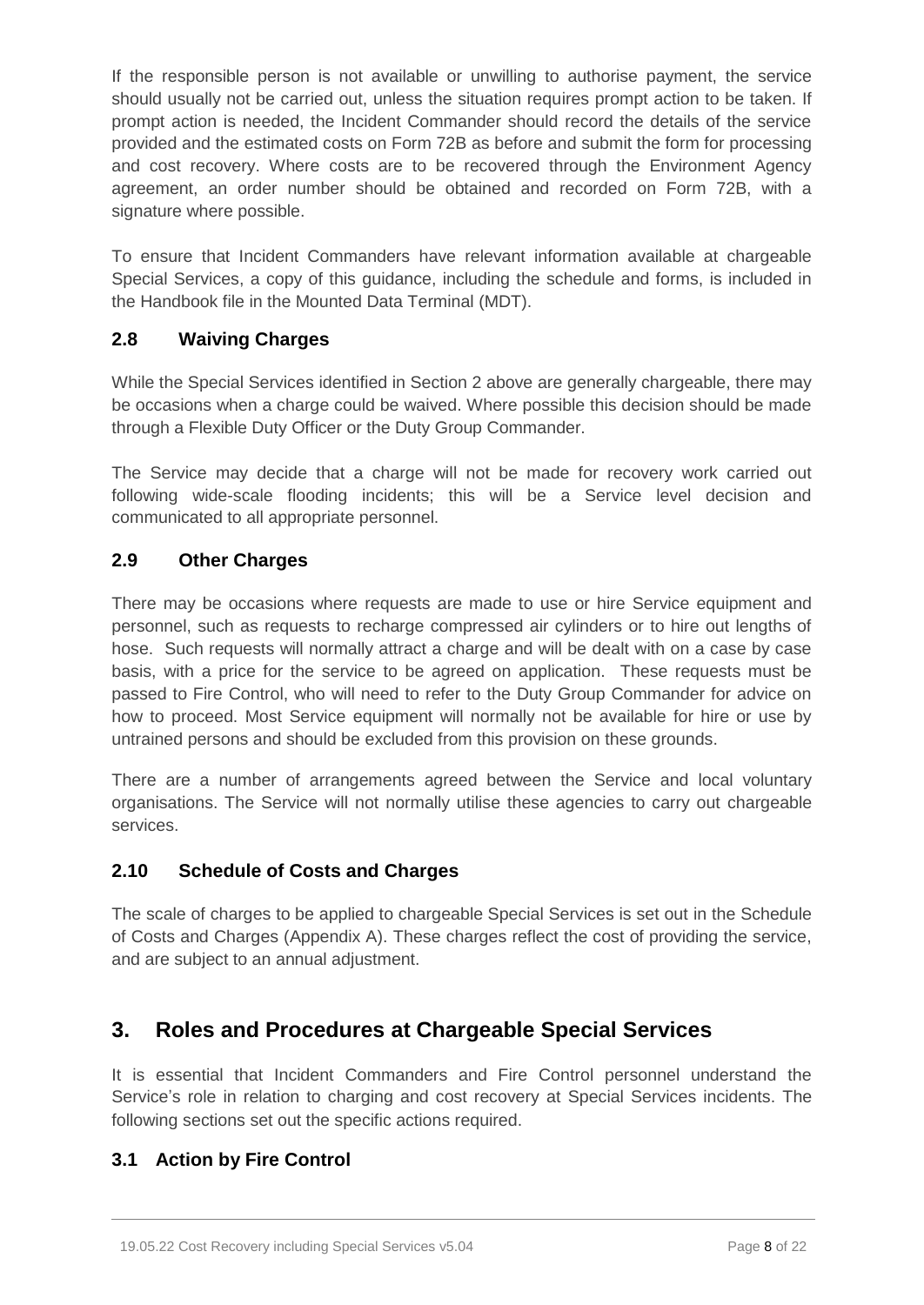If the responsible person is not available or unwilling to authorise payment, the service should usually not be carried out, unless the situation requires prompt action to be taken. If prompt action is needed, the Incident Commander should record the details of the service provided and the estimated costs on Form 72B as before and submit the form for processing and cost recovery. Where costs are to be recovered through the Environment Agency agreement, an order number should be obtained and recorded on Form 72B, with a signature where possible.

To ensure that Incident Commanders have relevant information available at chargeable Special Services, a copy of this guidance, including the schedule and forms, is included in the Handbook file in the Mounted Data Terminal (MDT).

## **2.8 Waiving Charges**

While the Special Services identified in Section 2 above are generally chargeable, there may be occasions when a charge could be waived. Where possible this decision should be made through a Flexible Duty Officer or the Duty Group Commander.

The Service may decide that a charge will not be made for recovery work carried out following wide-scale flooding incidents; this will be a Service level decision and communicated to all appropriate personnel.

# **2.9 Other Charges**

There may be occasions where requests are made to use or hire Service equipment and personnel, such as requests to recharge compressed air cylinders or to hire out lengths of hose. Such requests will normally attract a charge and will be dealt with on a case by case basis, with a price for the service to be agreed on application. These requests must be passed to Fire Control, who will need to refer to the Duty Group Commander for advice on how to proceed. Most Service equipment will normally not be available for hire or use by untrained persons and should be excluded from this provision on these grounds.

There are a number of arrangements agreed between the Service and local voluntary organisations. The Service will not normally utilise these agencies to carry out chargeable services.

## **2.10 Schedule of Costs and Charges**

The scale of charges to be applied to chargeable Special Services is set out in the Schedule of Costs and Charges (Appendix A). These charges reflect the cost of providing the service, and are subject to an annual adjustment.

# **3. Roles and Procedures at Chargeable Special Services**

It is essential that Incident Commanders and Fire Control personnel understand the Service's role in relation to charging and cost recovery at Special Services incidents. The following sections set out the specific actions required.

# **3.1 Action by Fire Control**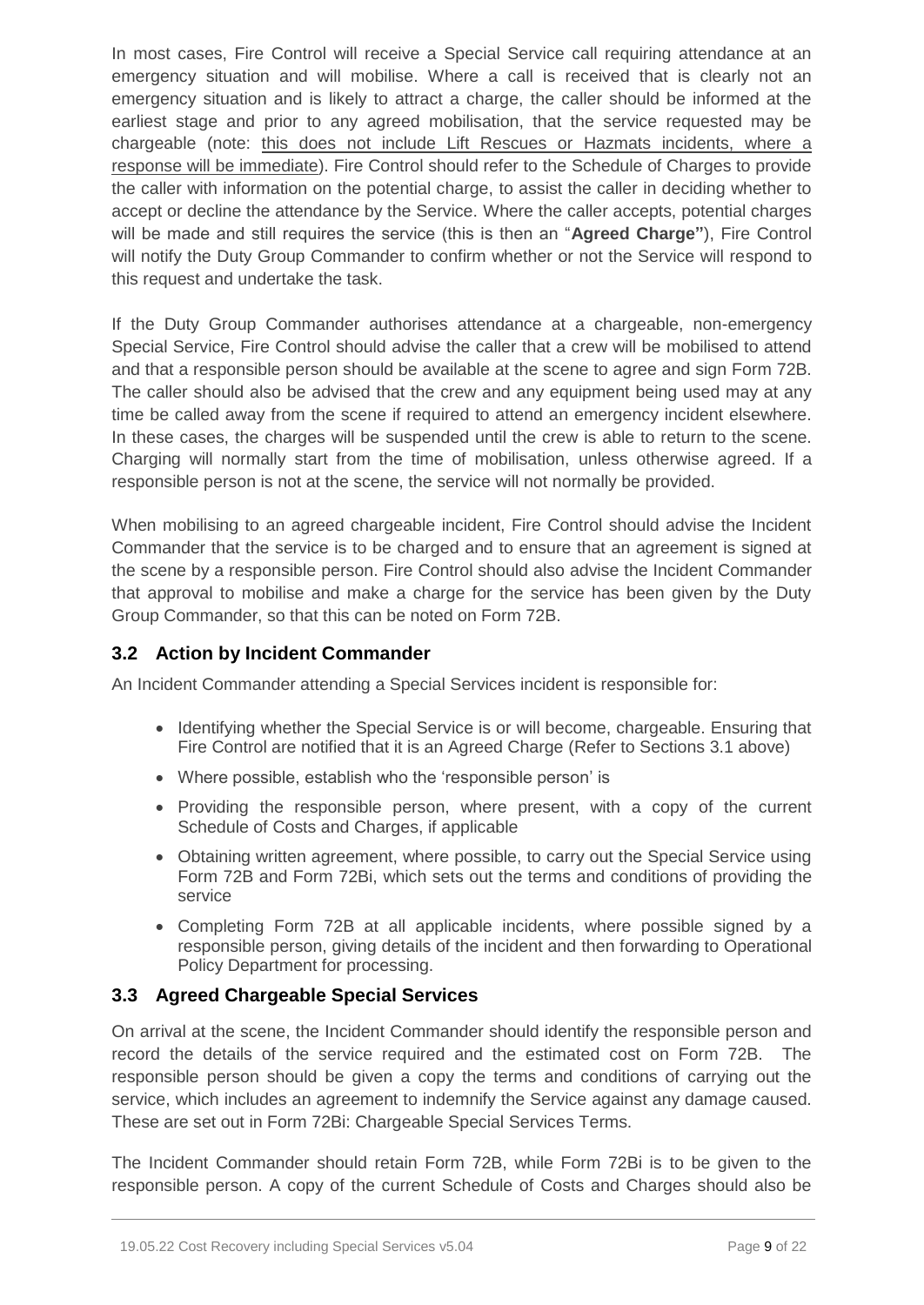In most cases, Fire Control will receive a Special Service call requiring attendance at an emergency situation and will mobilise. Where a call is received that is clearly not an emergency situation and is likely to attract a charge, the caller should be informed at the earliest stage and prior to any agreed mobilisation, that the service requested may be chargeable (note: this does not include Lift Rescues or Hazmats incidents, where a response will be immediate). Fire Control should refer to the Schedule of Charges to provide the caller with information on the potential charge, to assist the caller in deciding whether to accept or decline the attendance by the Service. Where the caller accepts, potential charges will be made and still requires the service (this is then an "**Agreed Charge"**), Fire Control will notify the Duty Group Commander to confirm whether or not the Service will respond to this request and undertake the task.

If the Duty Group Commander authorises attendance at a chargeable, non-emergency Special Service, Fire Control should advise the caller that a crew will be mobilised to attend and that a responsible person should be available at the scene to agree and sign Form 72B. The caller should also be advised that the crew and any equipment being used may at any time be called away from the scene if required to attend an emergency incident elsewhere. In these cases, the charges will be suspended until the crew is able to return to the scene. Charging will normally start from the time of mobilisation, unless otherwise agreed. If a responsible person is not at the scene, the service will not normally be provided.

When mobilising to an agreed chargeable incident, Fire Control should advise the Incident Commander that the service is to be charged and to ensure that an agreement is signed at the scene by a responsible person. Fire Control should also advise the Incident Commander that approval to mobilise and make a charge for the service has been given by the Duty Group Commander, so that this can be noted on Form 72B.

## **3.2 Action by Incident Commander**

An Incident Commander attending a Special Services incident is responsible for:

- Identifying whether the Special Service is or will become, chargeable. Ensuring that Fire Control are notified that it is an Agreed Charge (Refer to Sections 3.1 above)
- Where possible, establish who the 'responsible person' is
- Providing the responsible person, where present, with a copy of the current Schedule of Costs and Charges, if applicable
- Obtaining written agreement, where possible, to carry out the Special Service using Form 72B and Form 72Bi, which sets out the terms and conditions of providing the service
- Completing Form 72B at all applicable incidents, where possible signed by a responsible person, giving details of the incident and then forwarding to Operational Policy Department for processing.

# **3.3 Agreed Chargeable Special Services**

On arrival at the scene, the Incident Commander should identify the responsible person and record the details of the service required and the estimated cost on Form 72B. The responsible person should be given a copy the terms and conditions of carrying out the service, which includes an agreement to indemnify the Service against any damage caused. These are set out in Form 72Bi: Chargeable Special Services Terms.

The Incident Commander should retain Form 72B, while Form 72Bi is to be given to the responsible person. A copy of the current Schedule of Costs and Charges should also be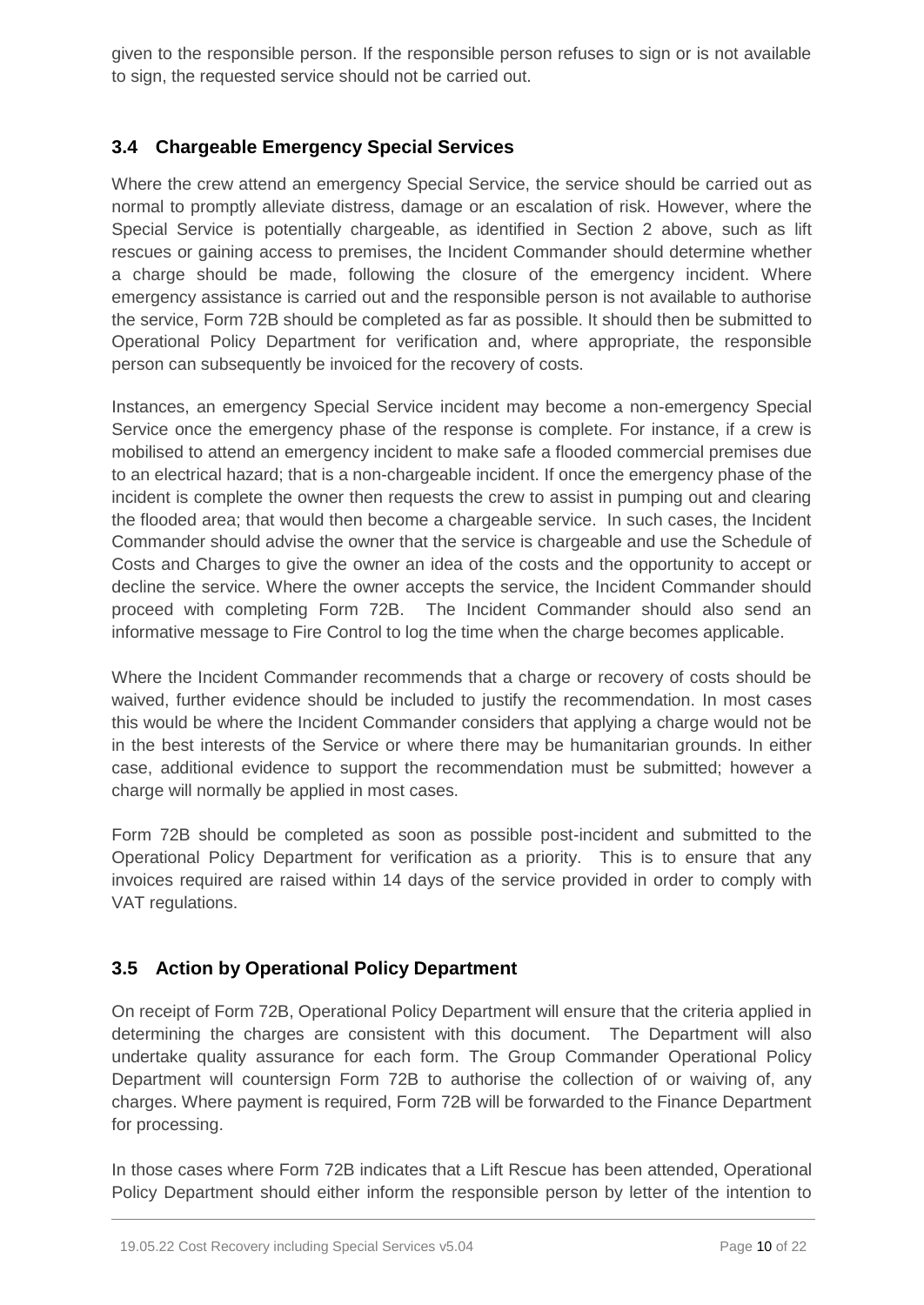given to the responsible person. If the responsible person refuses to sign or is not available to sign, the requested service should not be carried out.

# **3.4 Chargeable Emergency Special Services**

Where the crew attend an emergency Special Service, the service should be carried out as normal to promptly alleviate distress, damage or an escalation of risk. However, where the Special Service is potentially chargeable, as identified in Section 2 above, such as lift rescues or gaining access to premises, the Incident Commander should determine whether a charge should be made, following the closure of the emergency incident. Where emergency assistance is carried out and the responsible person is not available to authorise the service, Form 72B should be completed as far as possible. It should then be submitted to Operational Policy Department for verification and, where appropriate, the responsible person can subsequently be invoiced for the recovery of costs.

Instances, an emergency Special Service incident may become a non-emergency Special Service once the emergency phase of the response is complete. For instance, if a crew is mobilised to attend an emergency incident to make safe a flooded commercial premises due to an electrical hazard; that is a non-chargeable incident. If once the emergency phase of the incident is complete the owner then requests the crew to assist in pumping out and clearing the flooded area; that would then become a chargeable service. In such cases, the Incident Commander should advise the owner that the service is chargeable and use the Schedule of Costs and Charges to give the owner an idea of the costs and the opportunity to accept or decline the service. Where the owner accepts the service, the Incident Commander should proceed with completing Form 72B. The Incident Commander should also send an informative message to Fire Control to log the time when the charge becomes applicable.

Where the Incident Commander recommends that a charge or recovery of costs should be waived, further evidence should be included to justify the recommendation. In most cases this would be where the Incident Commander considers that applying a charge would not be in the best interests of the Service or where there may be humanitarian grounds. In either case, additional evidence to support the recommendation must be submitted; however a charge will normally be applied in most cases.

Form 72B should be completed as soon as possible post-incident and submitted to the Operational Policy Department for verification as a priority. This is to ensure that any invoices required are raised within 14 days of the service provided in order to comply with VAT regulations.

# **3.5 Action by Operational Policy Department**

On receipt of Form 72B, Operational Policy Department will ensure that the criteria applied in determining the charges are consistent with this document. The Department will also undertake quality assurance for each form. The Group Commander Operational Policy Department will countersign Form 72B to authorise the collection of or waiving of, any charges. Where payment is required, Form 72B will be forwarded to the Finance Department for processing.

In those cases where Form 72B indicates that a Lift Rescue has been attended, Operational Policy Department should either inform the responsible person by letter of the intention to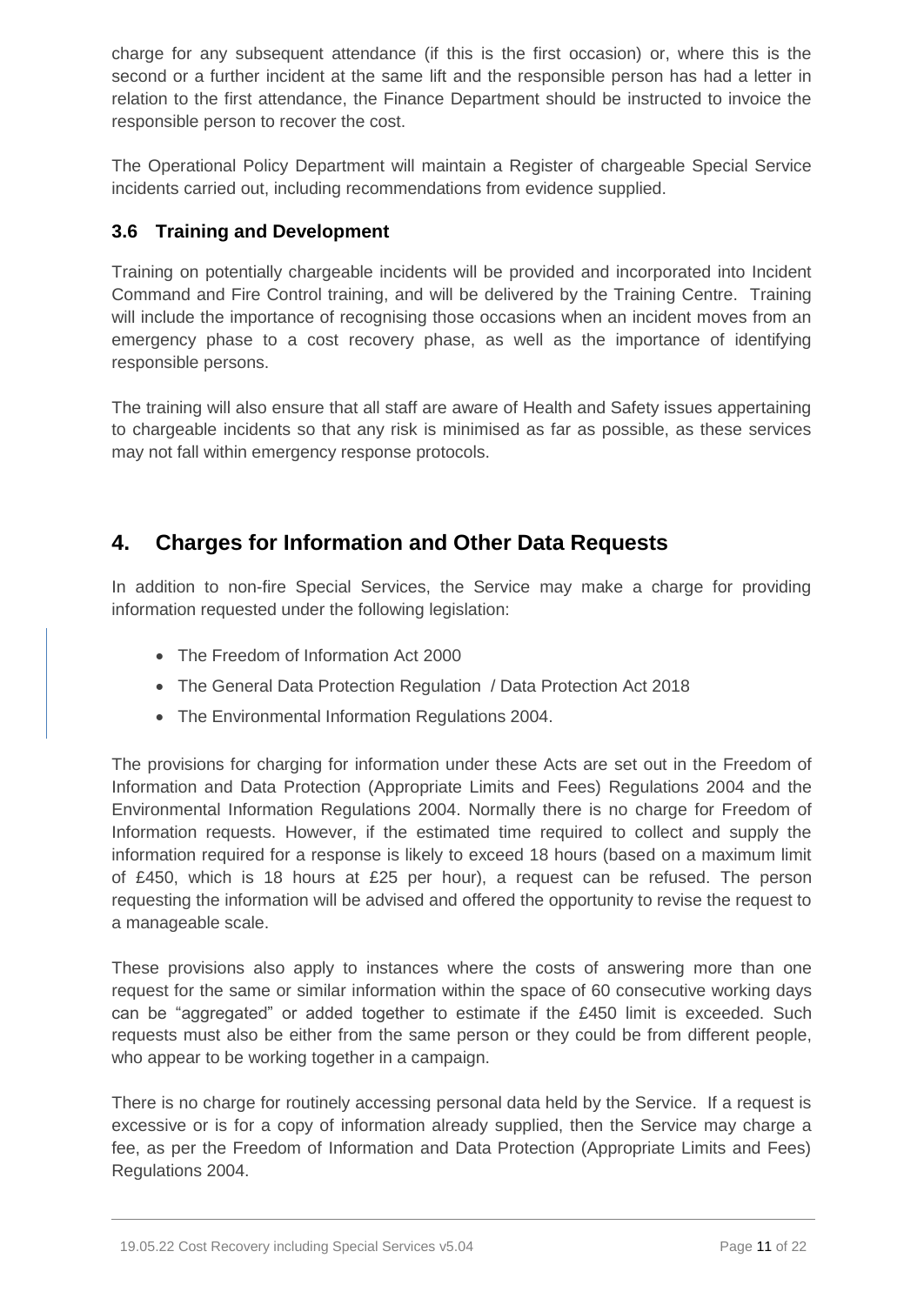charge for any subsequent attendance (if this is the first occasion) or, where this is the second or a further incident at the same lift and the responsible person has had a letter in relation to the first attendance, the Finance Department should be instructed to invoice the responsible person to recover the cost.

The Operational Policy Department will maintain a Register of chargeable Special Service incidents carried out, including recommendations from evidence supplied.

# **3.6 Training and Development**

Training on potentially chargeable incidents will be provided and incorporated into Incident Command and Fire Control training, and will be delivered by the Training Centre. Training will include the importance of recognising those occasions when an incident moves from an emergency phase to a cost recovery phase, as well as the importance of identifying responsible persons.

The training will also ensure that all staff are aware of Health and Safety issues appertaining to chargeable incidents so that any risk is minimised as far as possible, as these services may not fall within emergency response protocols.

# **4. Charges for Information and Other Data Requests**

In addition to non-fire Special Services, the Service may make a charge for providing information requested under the following legislation:

- The Freedom of Information Act 2000
- The General Data Protection Regulation / Data Protection Act 2018
- The Environmental Information Regulations 2004.

The provisions for charging for information under these Acts are set out in the Freedom of Information and Data Protection (Appropriate Limits and Fees) Regulations 2004 and the Environmental Information Regulations 2004. Normally there is no charge for Freedom of Information requests. However, if the estimated time required to collect and supply the information required for a response is likely to exceed 18 hours (based on a maximum limit of £450, which is 18 hours at £25 per hour), a request can be refused. The person requesting the information will be advised and offered the opportunity to revise the request to a manageable scale.

These provisions also apply to instances where the costs of answering more than one request for the same or similar information within the space of 60 consecutive working days can be "aggregated" or added together to estimate if the £450 limit is exceeded. Such requests must also be either from the same person or they could be from different people, who appear to be working together in a campaign.

There is no charge for routinely accessing personal data held by the Service. If a request is excessive or is for a copy of information already supplied, then the Service may charge a fee, as per the Freedom of Information and Data Protection (Appropriate Limits and Fees) Regulations 2004.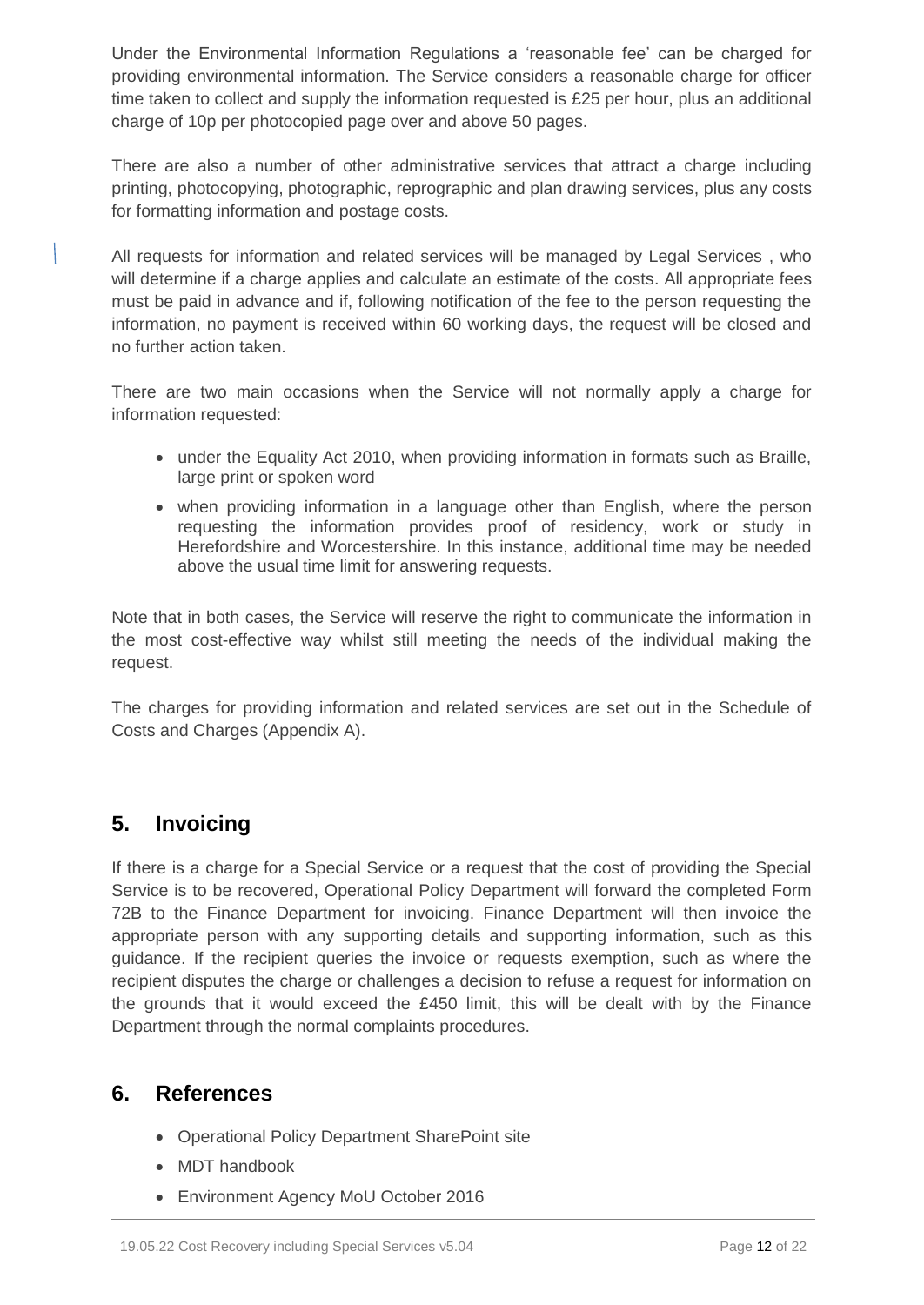Under the Environmental Information Regulations a 'reasonable fee' can be charged for providing environmental information. The Service considers a reasonable charge for officer time taken to collect and supply the information requested is £25 per hour, plus an additional charge of 10p per photocopied page over and above 50 pages.

There are also a number of other administrative services that attract a charge including printing, photocopying, photographic, reprographic and plan drawing services, plus any costs for formatting information and postage costs.

All requests for information and related services will be managed by Legal Services , who will determine if a charge applies and calculate an estimate of the costs. All appropriate fees must be paid in advance and if, following notification of the fee to the person requesting the information, no payment is received within 60 working days, the request will be closed and no further action taken.

There are two main occasions when the Service will not normally apply a charge for information requested:

- under the Equality Act 2010, when providing information in formats such as Braille, large print or spoken word
- when providing information in a language other than English, where the person requesting the information provides proof of residency, work or study in Herefordshire and Worcestershire. In this instance, additional time may be needed above the usual time limit for answering requests.

Note that in both cases, the Service will reserve the right to communicate the information in the most cost-effective way whilst still meeting the needs of the individual making the request.

The charges for providing information and related services are set out in the Schedule of Costs and Charges (Appendix A).

# **5. Invoicing**

If there is a charge for a Special Service or a request that the cost of providing the Special Service is to be recovered, Operational Policy Department will forward the completed Form 72B to the Finance Department for invoicing. Finance Department will then invoice the appropriate person with any supporting details and supporting information, such as this guidance. If the recipient queries the invoice or requests exemption, such as where the recipient disputes the charge or challenges a decision to refuse a request for information on the grounds that it would exceed the £450 limit, this will be dealt with by the Finance Department through the normal complaints procedures.

# **6. References**

- Operational Policy Department SharePoint site
- MDT handbook
- Environment Agency MoU October 2016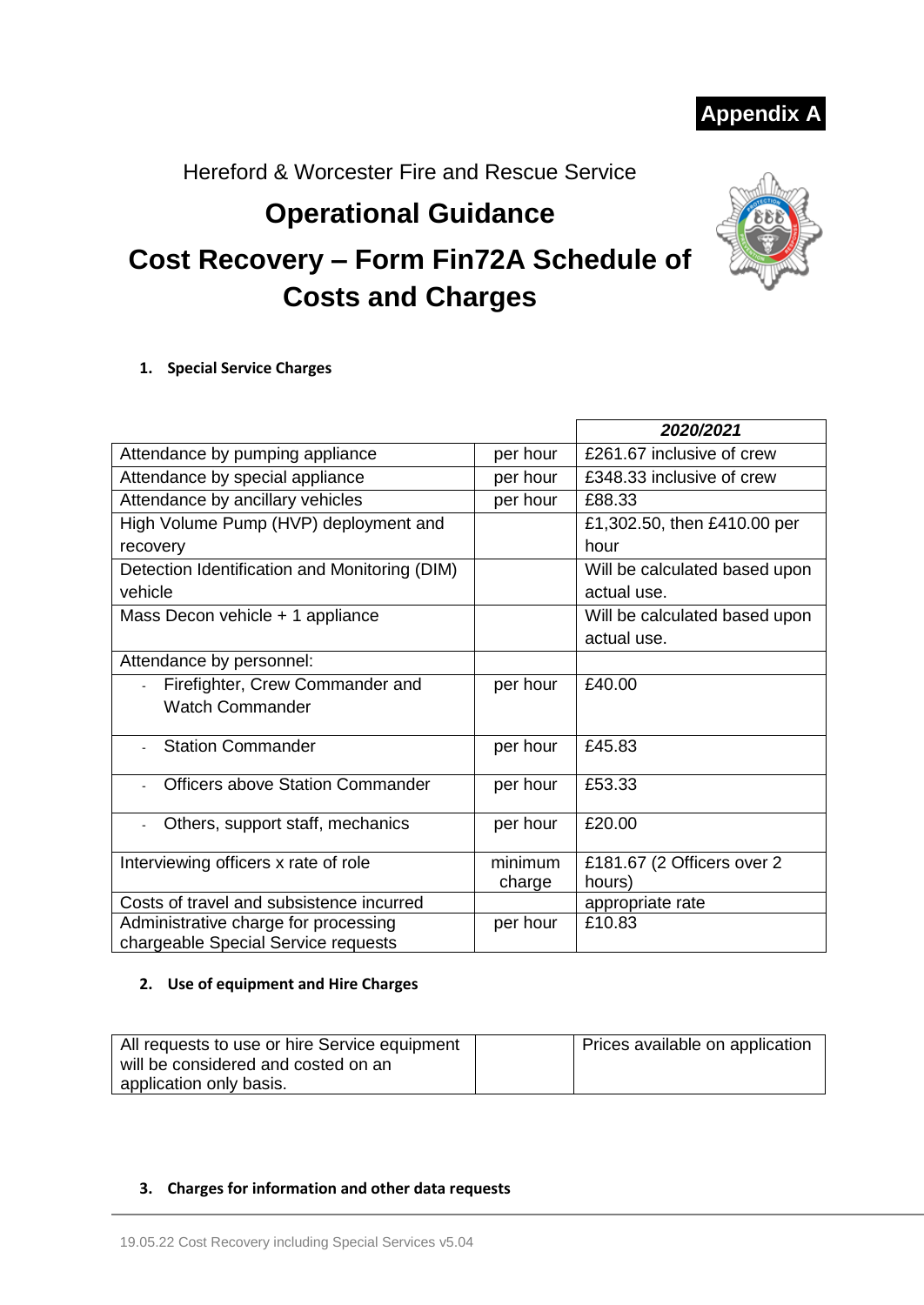**Appendix A**

Hereford & Worcester Fire and Rescue Service

# **Operational Guidance**



# **Cost Recovery – Form Fin72A Schedule of Costs and Charges**

#### **1. Special Service Charges**

|                                               |          | 2020/2021                     |
|-----------------------------------------------|----------|-------------------------------|
| Attendance by pumping appliance               | per hour | £261.67 inclusive of crew     |
| Attendance by special appliance               | per hour | £348.33 inclusive of crew     |
| Attendance by ancillary vehicles              | per hour | £88.33                        |
| High Volume Pump (HVP) deployment and         |          | £1,302.50, then £410.00 per   |
| recovery                                      |          | hour                          |
| Detection Identification and Monitoring (DIM) |          | Will be calculated based upon |
| vehicle                                       |          | actual use.                   |
| Mass Decon vehicle + 1 appliance              |          | Will be calculated based upon |
|                                               |          | actual use.                   |
| Attendance by personnel:                      |          |                               |
| Firefighter, Crew Commander and               | per hour | £40.00                        |
| <b>Watch Commander</b>                        |          |                               |
| <b>Station Commander</b>                      |          | £45.83                        |
|                                               | per hour |                               |
| <b>Officers above Station Commander</b>       | per hour | £53.33                        |
|                                               |          |                               |
| Others, support staff, mechanics              | per hour | £20.00                        |
| Interviewing officers x rate of role          | minimum  | £181.67 (2 Officers over 2    |
|                                               | charge   | hours)                        |
| Costs of travel and subsistence incurred      |          | appropriate rate              |
| Administrative charge for processing          | per hour | £10.83                        |
| chargeable Special Service requests           |          |                               |

#### **2. Use of equipment and Hire Charges**

| All requests to use or hire Service equipment | Prices available on application |
|-----------------------------------------------|---------------------------------|
| will be considered and costed on an           |                                 |
| application only basis.                       |                                 |

#### **3. Charges for information and other data requests**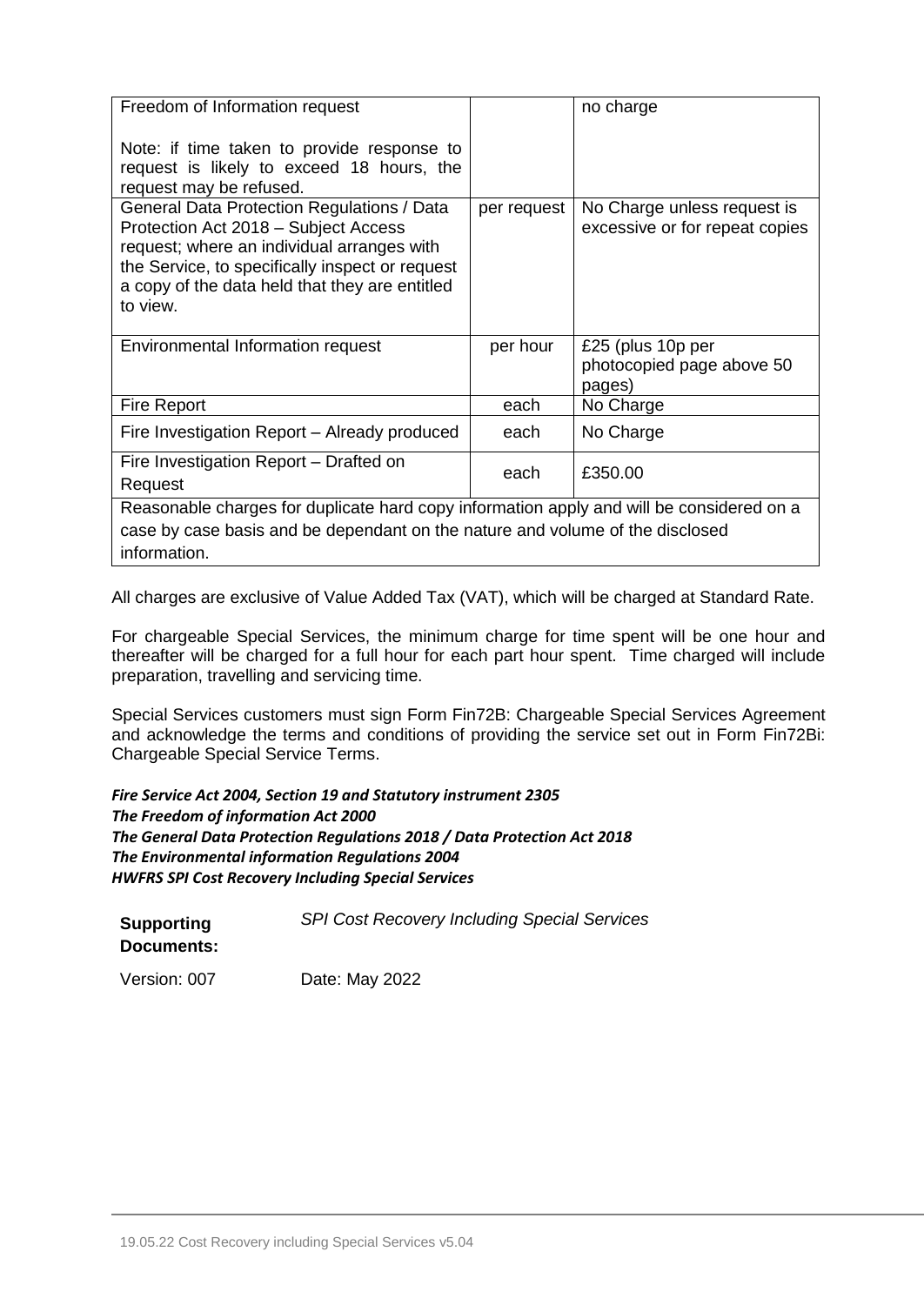| Freedom of Information request                                                                                                                                                                                                                    |             | no charge                                                     |
|---------------------------------------------------------------------------------------------------------------------------------------------------------------------------------------------------------------------------------------------------|-------------|---------------------------------------------------------------|
| Note: if time taken to provide response to<br>request is likely to exceed 18 hours, the<br>request may be refused.                                                                                                                                |             |                                                               |
| General Data Protection Regulations / Data<br>Protection Act 2018 - Subject Access<br>request; where an individual arranges with<br>the Service, to specifically inspect or request<br>a copy of the data held that they are entitled<br>to view. | per request | No Charge unless request is<br>excessive or for repeat copies |
| Environmental Information request                                                                                                                                                                                                                 | per hour    | £25 (plus 10p per<br>photocopied page above 50<br>pages)      |
| <b>Fire Report</b>                                                                                                                                                                                                                                | each        | No Charge                                                     |
| Fire Investigation Report - Already produced                                                                                                                                                                                                      | each        | No Charge                                                     |
| Fire Investigation Report – Drafted on<br>Request                                                                                                                                                                                                 | each        | £350.00                                                       |
| Reasonable charges for duplicate hard copy information apply and will be considered on a                                                                                                                                                          |             |                                                               |
| case by case basis and be dependant on the nature and volume of the disclosed                                                                                                                                                                     |             |                                                               |
| information.                                                                                                                                                                                                                                      |             |                                                               |

All charges are exclusive of Value Added Tax (VAT), which will be charged at Standard Rate.

For chargeable Special Services, the minimum charge for time spent will be one hour and thereafter will be charged for a full hour for each part hour spent. Time charged will include preparation, travelling and servicing time.

Special Services customers must sign Form Fin72B: Chargeable Special Services Agreement and acknowledge the terms and conditions of providing the service set out in Form Fin72Bi: Chargeable Special Service Terms.

*Fire Service Act 2004, Section 19 and Statutory instrument 2305 The Freedom of information Act 2000 The General Data Protection Regulations 2018 / Data Protection Act 2018 The Environmental information Regulations 2004 HWFRS SPI Cost Recovery Including Special Services*

| <b>Supporting</b><br>Documents: | <b>SPI Cost Recovery Including Special Services</b> |
|---------------------------------|-----------------------------------------------------|
| Version: 007                    | Date: May 2022                                      |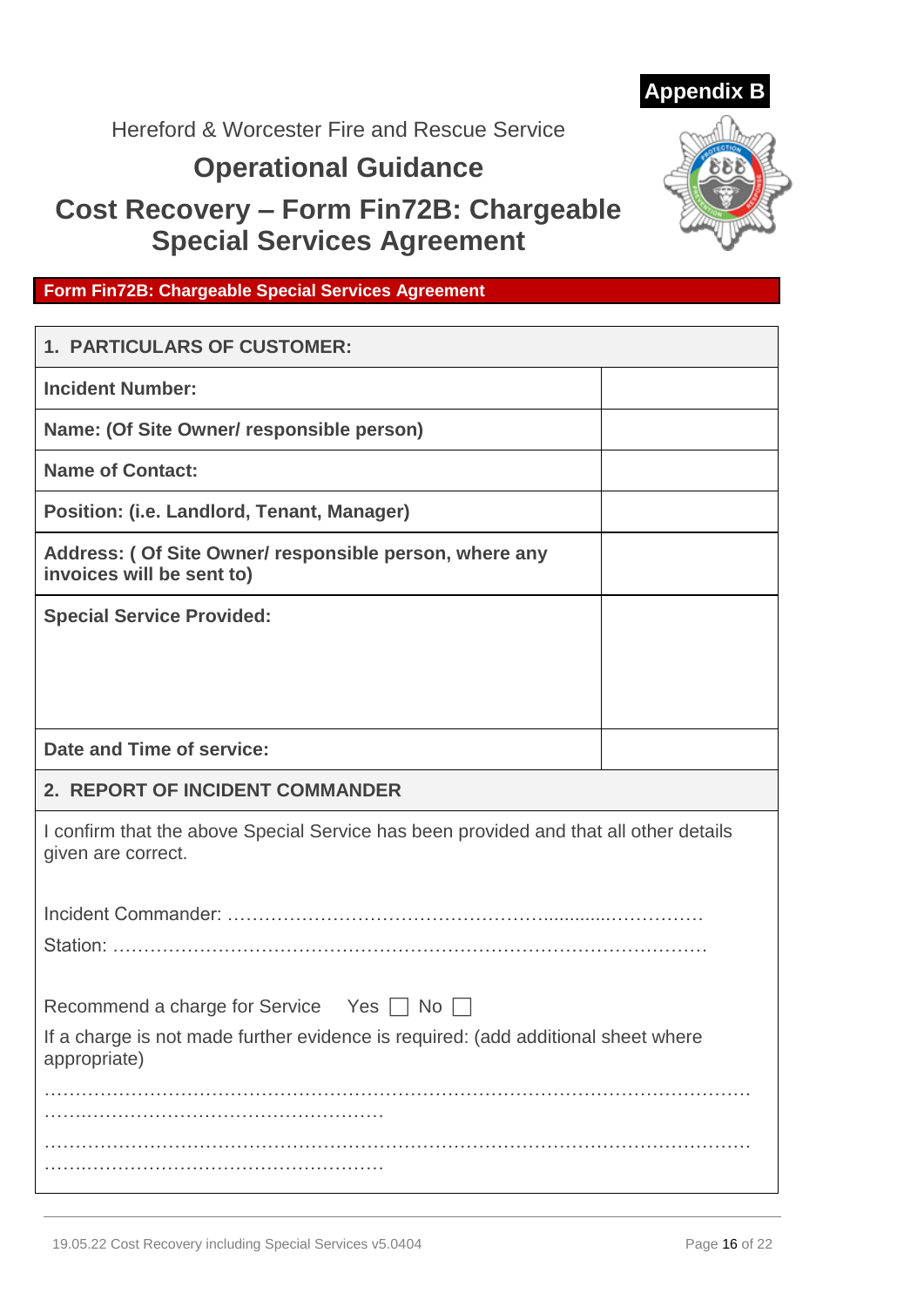

# Hereford & Worcester Fire and Rescue Service

# **Operational Guidance**

# **Cost Recovery – Form Fin72B: Chargeable Special Services Agreement**



# **Form Fin72B: Chargeable Special Services Agreement**

| <b>1. PARTICULARS OF CUSTOMER:</b>                                                                          |  |
|-------------------------------------------------------------------------------------------------------------|--|
| <b>Incident Number:</b>                                                                                     |  |
| Name: (Of Site Owner/ responsible person)                                                                   |  |
| <b>Name of Contact:</b>                                                                                     |  |
| Position: (i.e. Landlord, Tenant, Manager)                                                                  |  |
| Address: (Of Site Owner/ responsible person, where any<br>invoices will be sent to)                         |  |
| <b>Special Service Provided:</b>                                                                            |  |
|                                                                                                             |  |
|                                                                                                             |  |
| Date and Time of service:                                                                                   |  |
|                                                                                                             |  |
| 2. REPORT OF INCIDENT COMMANDER                                                                             |  |
| I confirm that the above Special Service has been provided and that all other details<br>given are correct. |  |
|                                                                                                             |  |
|                                                                                                             |  |
| Recommend a charge for Service<br>Yes  <br>No                                                               |  |
| If a charge is not made further evidence is required: (add additional sheet where<br>appropriate)           |  |
|                                                                                                             |  |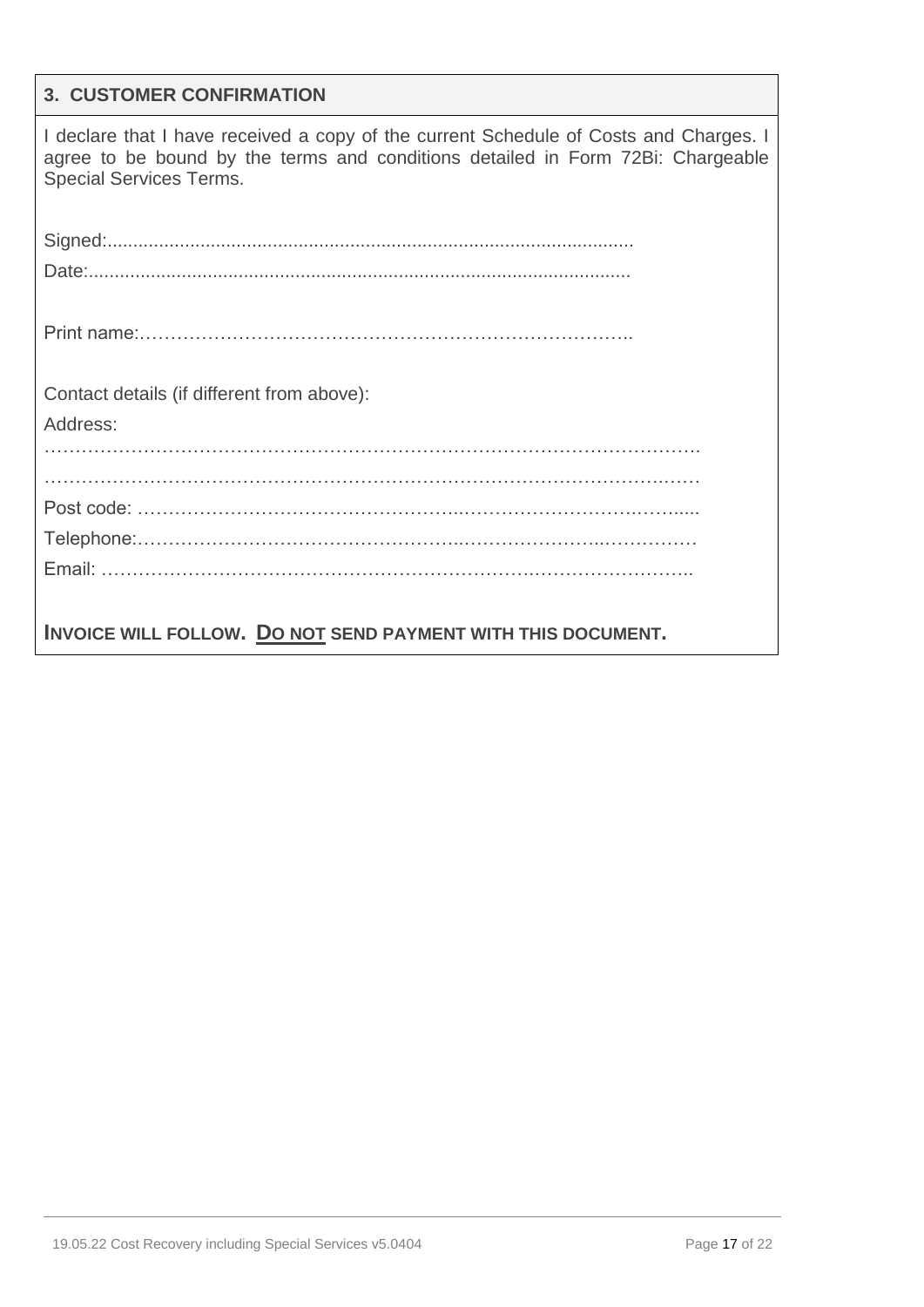#### **3. CUSTOMER CONFIRMATION**

I declare that I have received a copy of the current Schedule of Costs and Charges. I agree to be bound by the terms and conditions detailed in Form 72Bi: Chargeable Special Services Terms.

Signed:...................................................................................................... Date:......................................................................................................... Print name:…………………………………………………………………….. Contact details (if different from above): Address: ……………………………………………………………………………………………. ……………………………………………………………………………………….…… Post code: ……………………………………………..……………………….……..... Telephone:……………………………………………..…………………..…………… Email: …………………………………………………………….…………………….. **INVOICE WILL FOLLOW. DO NOT SEND PAYMENT WITH THIS DOCUMENT.**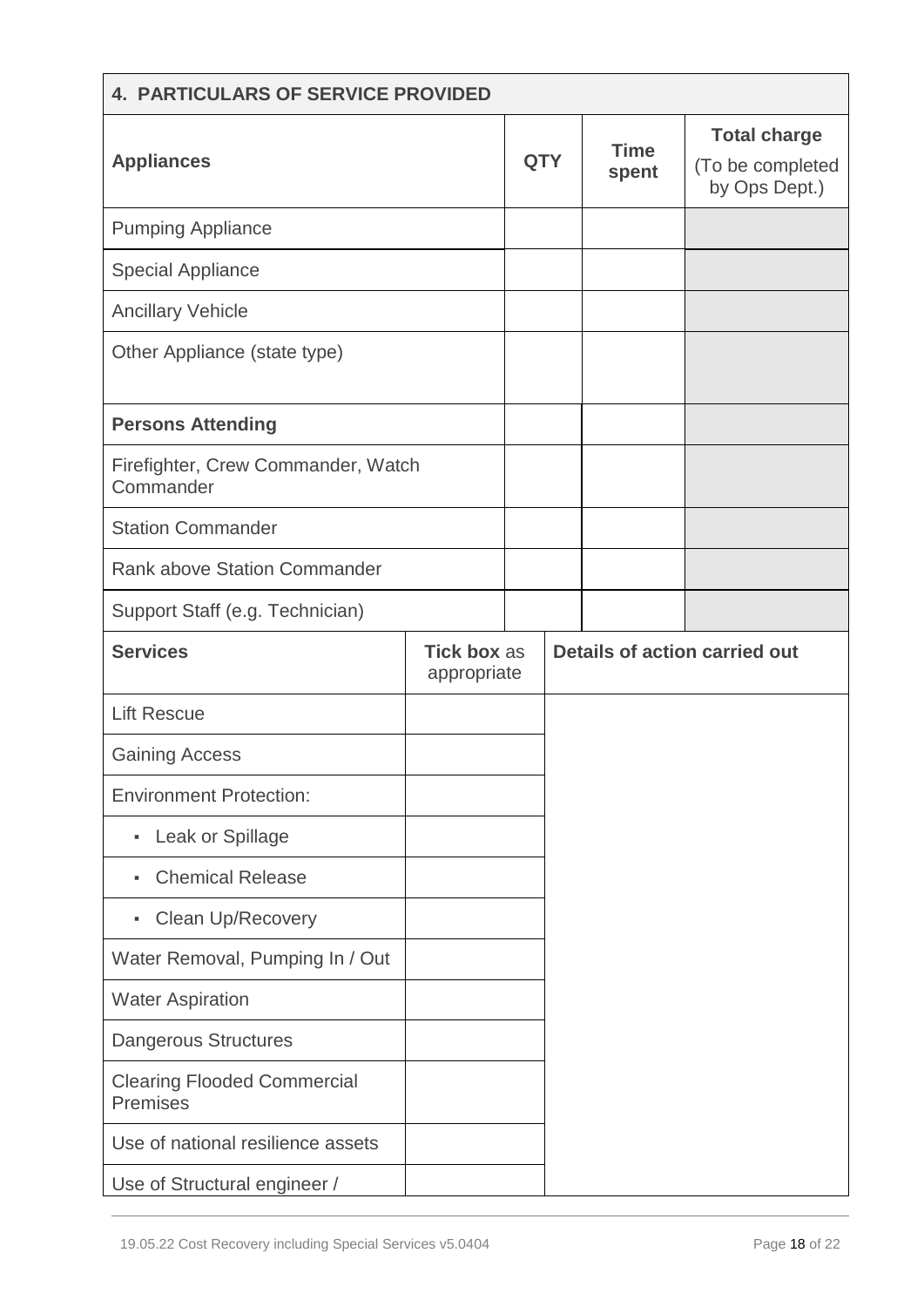| <b>4. PARTICULARS OF SERVICE PROVIDED</b>       |                                   |            |                                      |                      |                                                          |
|-------------------------------------------------|-----------------------------------|------------|--------------------------------------|----------------------|----------------------------------------------------------|
| <b>Appliances</b>                               |                                   | <b>QTY</b> |                                      | <b>Time</b><br>spent | <b>Total charge</b><br>(To be completed<br>by Ops Dept.) |
| <b>Pumping Appliance</b>                        |                                   |            |                                      |                      |                                                          |
| <b>Special Appliance</b>                        |                                   |            |                                      |                      |                                                          |
| <b>Ancillary Vehicle</b>                        |                                   |            |                                      |                      |                                                          |
| Other Appliance (state type)                    |                                   |            |                                      |                      |                                                          |
| <b>Persons Attending</b>                        |                                   |            |                                      |                      |                                                          |
| Firefighter, Crew Commander, Watch<br>Commander |                                   |            |                                      |                      |                                                          |
| <b>Station Commander</b>                        |                                   |            |                                      |                      |                                                          |
| <b>Rank above Station Commander</b>             |                                   |            |                                      |                      |                                                          |
| Support Staff (e.g. Technician)                 |                                   |            |                                      |                      |                                                          |
| <b>Services</b>                                 | <b>Tick box as</b><br>appropriate |            | <b>Details of action carried out</b> |                      |                                                          |
| <b>Lift Rescue</b>                              |                                   |            |                                      |                      |                                                          |
| <b>Gaining Access</b>                           |                                   |            |                                      |                      |                                                          |
| <b>Environment Protection:</b>                  |                                   |            |                                      |                      |                                                          |
| Leak or Spillage<br>٠                           |                                   |            |                                      |                      |                                                          |
| <b>Chemical Release</b><br>٠                    |                                   |            |                                      |                      |                                                          |
| <b>Clean Up/Recovery</b><br>٠                   |                                   |            |                                      |                      |                                                          |
| Water Removal, Pumping In / Out                 |                                   |            |                                      |                      |                                                          |
| <b>Water Aspiration</b>                         |                                   |            |                                      |                      |                                                          |
| <b>Dangerous Structures</b>                     |                                   |            |                                      |                      |                                                          |
| <b>Clearing Flooded Commercial</b><br>Premises  |                                   |            |                                      |                      |                                                          |
| Use of national resilience assets               |                                   |            |                                      |                      |                                                          |
| Use of Structural engineer /                    |                                   |            |                                      |                      |                                                          |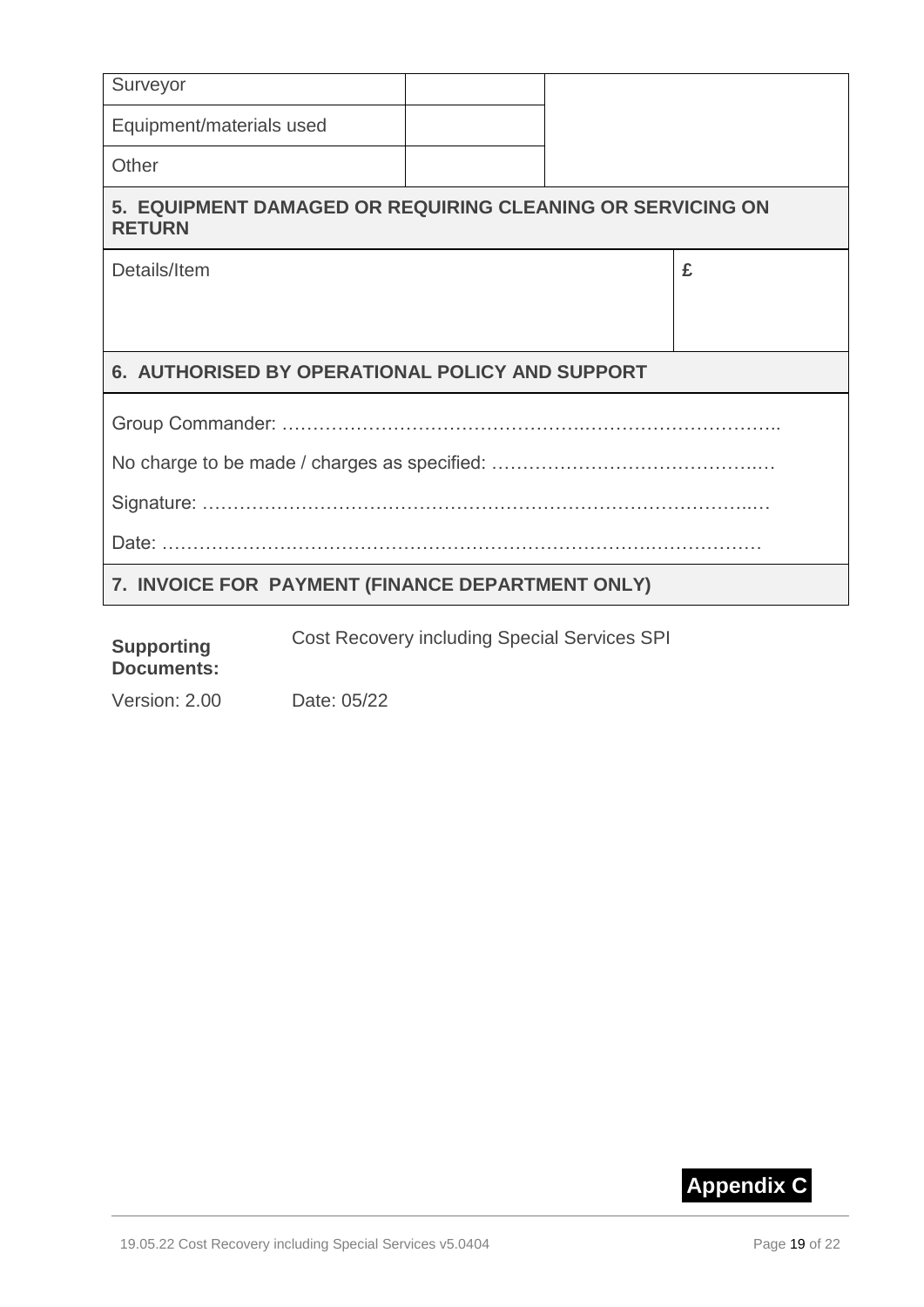| Surveyor                                                                    |  |  |   |
|-----------------------------------------------------------------------------|--|--|---|
| Equipment/materials used                                                    |  |  |   |
| Other                                                                       |  |  |   |
| 5. EQUIPMENT DAMAGED OR REQUIRING CLEANING OR SERVICING ON<br><b>RETURN</b> |  |  |   |
| Details/Item                                                                |  |  | £ |
|                                                                             |  |  |   |
| 6. AUTHORISED BY OPERATIONAL POLICY AND SUPPORT                             |  |  |   |
|                                                                             |  |  |   |
|                                                                             |  |  |   |
|                                                                             |  |  |   |
|                                                                             |  |  |   |
| 7. INVOICE FOR PAYMENT (FINANCE DEPARTMENT ONLY)                            |  |  |   |

Cost Recovery including Special Services SPI

#### **Supporting Documents:**

Version: 2.00 Date: 05/22

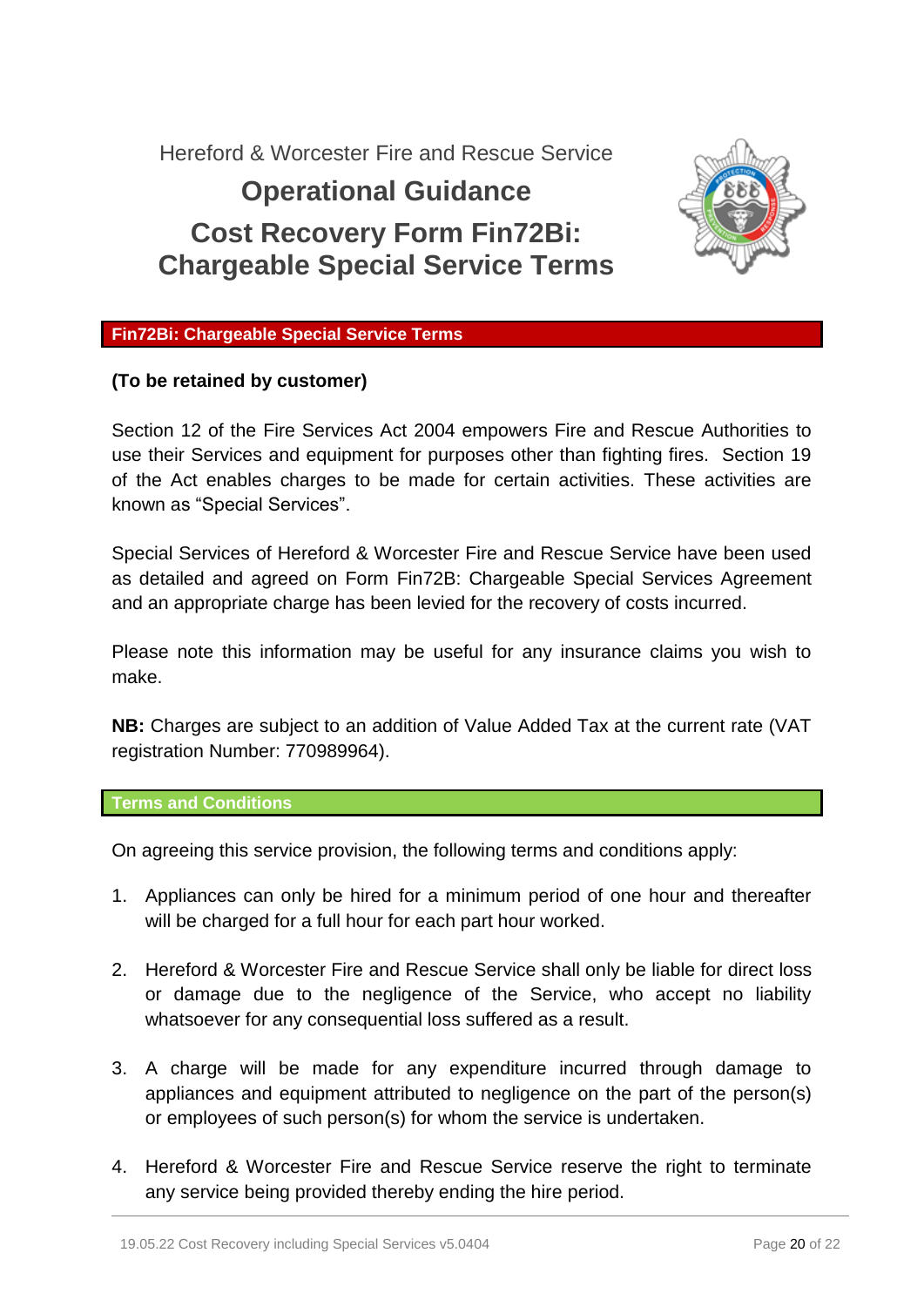Hereford & Worcester Fire and Rescue Service

# **Operational Guidance Cost Recovery Form Fin72Bi: Chargeable Special Service Terms**



## **Fin72Bi: Chargeable Special Service Terms**

## **(To be retained by customer)**

Section 12 of the Fire Services Act 2004 empowers Fire and Rescue Authorities to use their Services and equipment for purposes other than fighting fires. Section 19 of the Act enables charges to be made for certain activities. These activities are known as "Special Services".

Special Services of Hereford & Worcester Fire and Rescue Service have been used as detailed and agreed on Form Fin72B: Chargeable Special Services Agreement and an appropriate charge has been levied for the recovery of costs incurred.

Please note this information may be useful for any insurance claims you wish to make.

**NB:** Charges are subject to an addition of Value Added Tax at the current rate (VAT registration Number: 770989964).

#### **Terms and Conditions**

On agreeing this service provision, the following terms and conditions apply:

- 1. Appliances can only be hired for a minimum period of one hour and thereafter will be charged for a full hour for each part hour worked.
- 2. Hereford & Worcester Fire and Rescue Service shall only be liable for direct loss or damage due to the negligence of the Service, who accept no liability whatsoever for any consequential loss suffered as a result.
- 3. A charge will be made for any expenditure incurred through damage to appliances and equipment attributed to negligence on the part of the person(s) or employees of such person(s) for whom the service is undertaken.
- 4. Hereford & Worcester Fire and Rescue Service reserve the right to terminate any service being provided thereby ending the hire period.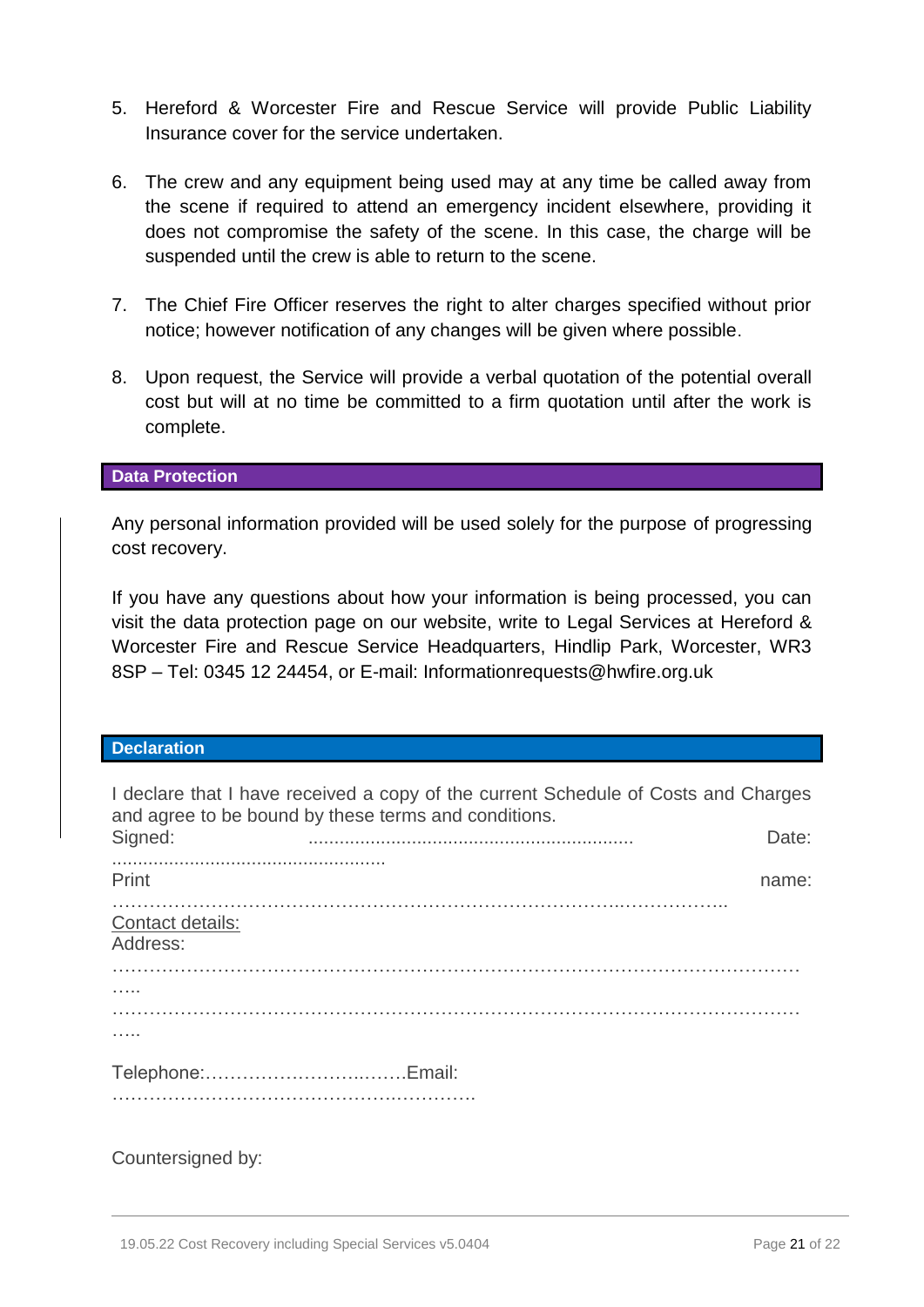- 5. Hereford & Worcester Fire and Rescue Service will provide Public Liability Insurance cover for the service undertaken.
- 6. The crew and any equipment being used may at any time be called away from the scene if required to attend an emergency incident elsewhere, providing it does not compromise the safety of the scene. In this case, the charge will be suspended until the crew is able to return to the scene.
- 7. The Chief Fire Officer reserves the right to alter charges specified without prior notice; however notification of any changes will be given where possible.
- 8. Upon request, the Service will provide a verbal quotation of the potential overall cost but will at no time be committed to a firm quotation until after the work is complete.

#### **Data Protection**

Any personal information provided will be used solely for the purpose of progressing cost recovery.

If you have any questions about how your information is being processed, you can visit the data protection page on our website, write to Legal Services at Hereford & Worcester Fire and Rescue Service Headquarters, Hindlip Park, Worcester, WR3 8SP – Tel: 0345 12 24454, or E-mail: [Informationrequests@hwfire.org.uk](mailto:Informationrequests@hwfire.org.uk)

#### **Declaration**

| I declare that I have received a copy of the current Schedule of Costs and Charges<br>and agree to be bound by these terms and conditions. |  |       |  |  |
|--------------------------------------------------------------------------------------------------------------------------------------------|--|-------|--|--|
| Signed:                                                                                                                                    |  | Date: |  |  |
| Print                                                                                                                                      |  | name: |  |  |
| Contact details:<br>Address:                                                                                                               |  |       |  |  |
|                                                                                                                                            |  |       |  |  |
|                                                                                                                                            |  |       |  |  |
|                                                                                                                                            |  |       |  |  |
|                                                                                                                                            |  |       |  |  |

## Countersigned by: